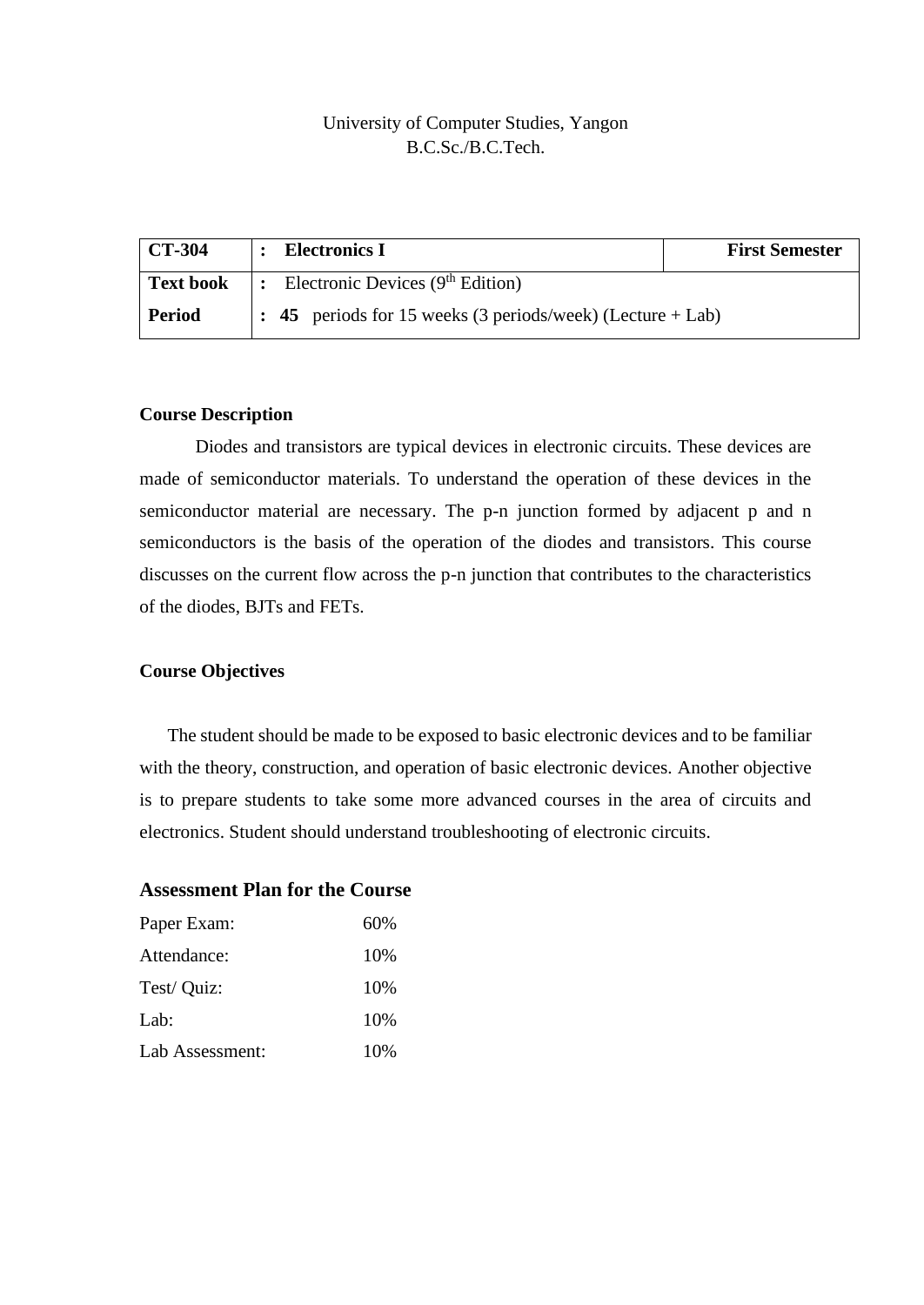## University of Computer Studies, Yangon B.C.Sc./B.C.Tech.

| <b>CT-304</b>    | <b>Electronics I</b>                                               | <b>First Semester</b> |  |  |
|------------------|--------------------------------------------------------------------|-----------------------|--|--|
| <b>Text book</b> | Electronic Devices $(9th Edition)$<br>$\mathsf{L}$ :               |                       |  |  |
| <b>Period</b>    | $\vert$ : 45 periods for 15 weeks (3 periods/week) (Lecture + Lab) |                       |  |  |

#### **Course Description**

Diodes and transistors are typical devices in electronic circuits. These devices are made of semiconductor materials. To understand the operation of these devices in the semiconductor material are necessary. The p-n junction formed by adjacent p and n semiconductors is the basis of the operation of the diodes and transistors. This course discusses on the current flow across the p-n junction that contributes to the characteristics of the diodes, BJTs and FETs.

#### **Course Objectives**

The student should be made to be exposed to basic electronic devices and to be familiar with the theory, construction, and operation of basic electronic devices. Another objective is to prepare students to take some more advanced courses in the area of circuits and electronics. Student should understand troubleshooting of electronic circuits.

### **Assessment Plan for the Course**

| Paper Exam:     | 60% |  |
|-----------------|-----|--|
| Attendance:     | 10% |  |
| Test/ Quiz:     | 10% |  |
| Lab:            | 10% |  |
| Lab Assessment: | 10% |  |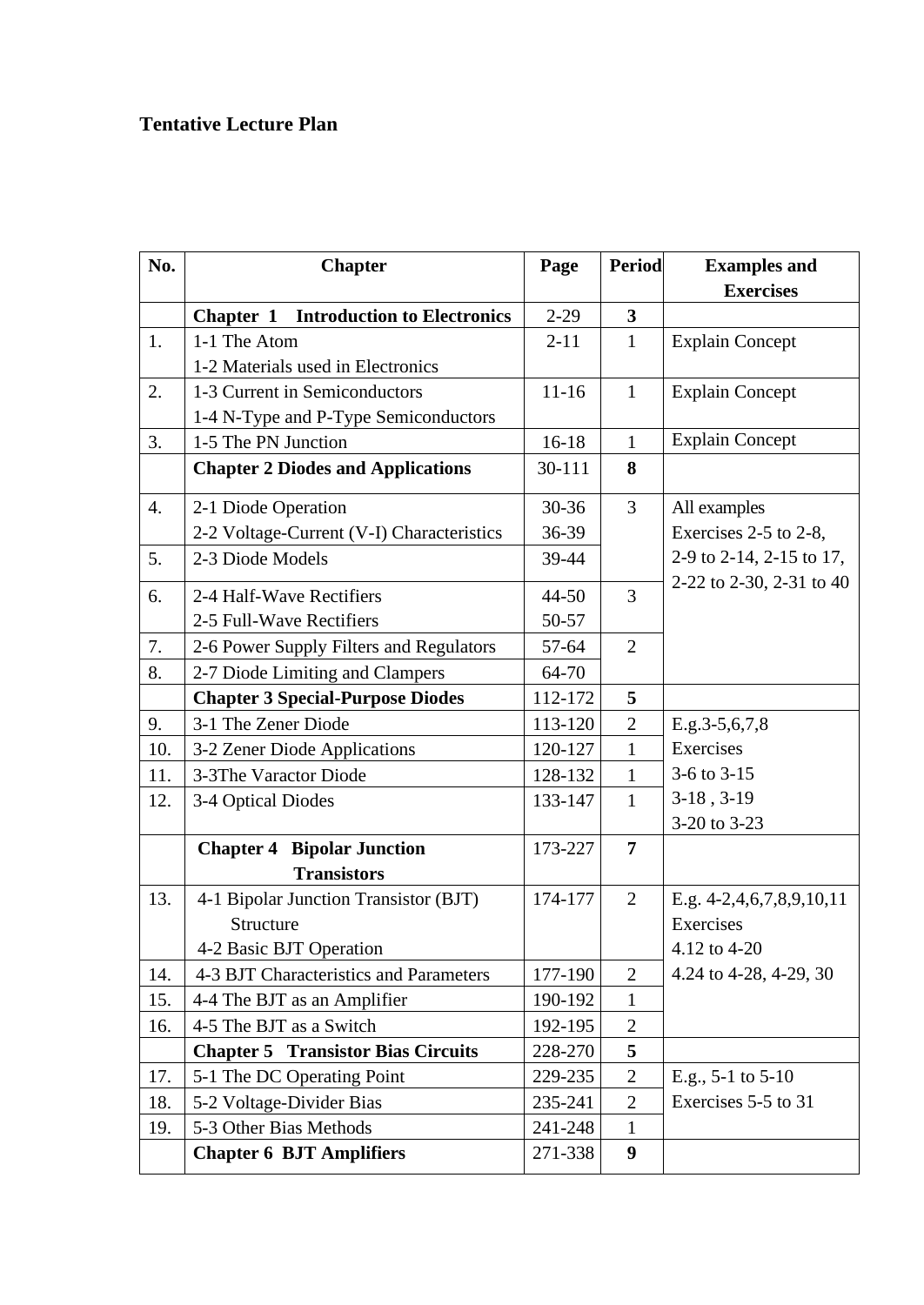# **Tentative Lecture Plan**

| No.              | <b>Chapter</b>                                          | Page      | Period                  | <b>Examples</b> and<br><b>Exercises</b> |
|------------------|---------------------------------------------------------|-----------|-------------------------|-----------------------------------------|
|                  | <b>Introduction to Electronics</b><br>Chapter 1         | $2 - 29$  | $\overline{\mathbf{3}}$ |                                         |
| 1.               | 1-1 The Atom                                            | $2 - 11$  | $\mathbf{1}$            | <b>Explain Concept</b>                  |
|                  | 1-2 Materials used in Electronics                       |           |                         |                                         |
| 2.               | 1-3 Current in Semiconductors                           | $11 - 16$ | $\mathbf{1}$            | <b>Explain Concept</b>                  |
|                  | 1-4 N-Type and P-Type Semiconductors                    |           |                         |                                         |
| 3.               | 1-5 The PN Junction                                     | $16-18$   | $\mathbf{1}$            | <b>Explain Concept</b>                  |
|                  | <b>Chapter 2 Diodes and Applications</b>                | 30-111    | 8                       |                                         |
| $\overline{4}$ . | 2-1 Diode Operation                                     | 30-36     | $\overline{3}$          | All examples                            |
|                  | 2-2 Voltage-Current (V-I) Characteristics               | 36-39     |                         | Exercises 2-5 to 2-8,                   |
| 5.               | 2-3 Diode Models                                        | 39-44     |                         | 2-9 to 2-14, 2-15 to 17,                |
| 6.               | 2-4 Half-Wave Rectifiers                                | 44-50     | 3                       | 2-22 to 2-30, 2-31 to 40                |
|                  | 2-5 Full-Wave Rectifiers                                | 50-57     |                         |                                         |
| 7.               | 2-6 Power Supply Filters and Regulators                 | 57-64     | $\overline{2}$          |                                         |
| 8.               | 2-7 Diode Limiting and Clampers                         | 64-70     |                         |                                         |
|                  | <b>Chapter 3 Special-Purpose Diodes</b>                 | 112-172   | 5                       |                                         |
| 9.               | 3-1 The Zener Diode                                     | 113-120   | $\overline{2}$          | $E.g.3-5,6,7,8$                         |
| 10.              | 3-2 Zener Diode Applications                            | 120-127   | $\mathbf{1}$            | Exercises                               |
| 11.              | 3-3The Varactor Diode                                   | 128-132   | $\mathbf{1}$            | 3-6 to 3-15                             |
| 12.              | 3-4 Optical Diodes                                      | 133-147   | $\mathbf{1}$            | $3-18, 3-19$                            |
|                  |                                                         |           |                         | 3-20 to 3-23                            |
|                  | <b>Chapter 4 Bipolar Junction</b><br><b>Transistors</b> | 173-227   | $\overline{7}$          |                                         |
| 13.              | 4-1 Bipolar Junction Transistor (BJT)                   | 174-177   | $\overline{2}$          | E.g. $4-2,4,6,7,8,9,10,11$              |
|                  | Structure                                               |           |                         | Exercises                               |
|                  | 4-2 Basic BJT Operation                                 |           |                         | 4.12 to 4-20                            |
| 14.              | 4-3 BJT Characteristics and Parameters                  | 177-190   | $\overline{2}$          | 4.24 to 4-28, 4-29, 30                  |
| 15.              | 4-4 The BJT as an Amplifier                             | 190-192   | $\mathbf{1}$            |                                         |
| 16.              | 4-5 The BJT as a Switch                                 | 192-195   | $\overline{2}$          |                                         |
|                  | <b>Chapter 5 Transistor Bias Circuits</b>               | 228-270   | 5                       |                                         |
| 17.              | 5-1 The DC Operating Point                              | 229-235   | $\mathbf{2}$            | E.g., $5-1$ to $5-10$                   |
| 18.              | 5-2 Voltage-Divider Bias                                | 235-241   | $\overline{2}$          | Exercises 5-5 to 31                     |
| 19.              | 5-3 Other Bias Methods                                  | 241-248   | $\mathbf{1}$            |                                         |
|                  | <b>Chapter 6 BJT Amplifiers</b>                         | 271-338   | 9                       |                                         |